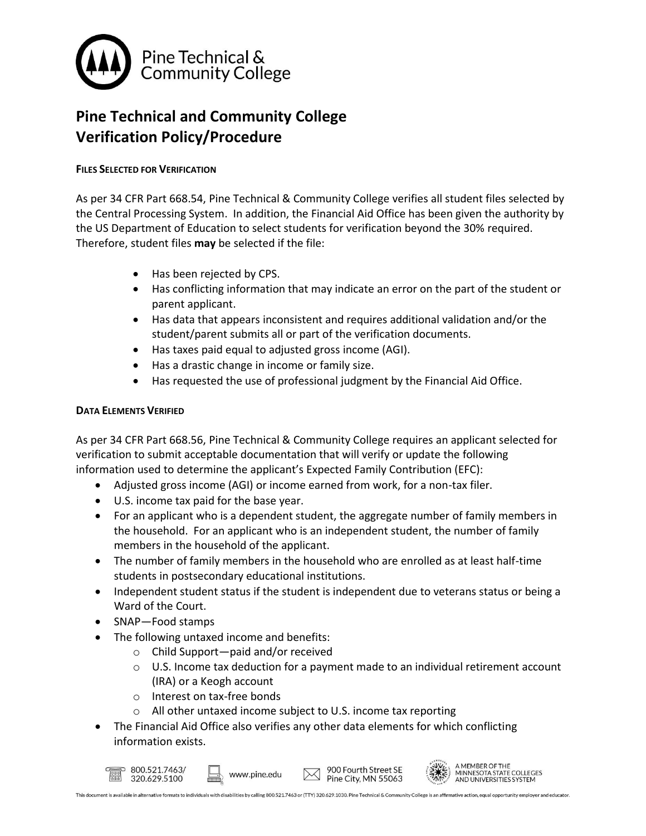

# **Pine Technical and Community College Verification Policy/Procedure**

## **FILES SELECTED FOR VERIFICATION**

As per 34 CFR Part 668.54, Pine Technical & Community College verifies all student files selected by the Central Processing System. In addition, the Financial Aid Office has been given the authority by the US Department of Education to select students for verification beyond the 30% required. Therefore, student files **may** be selected if the file:

- Has been rejected by CPS.
- Has conflicting information that may indicate an error on the part of the student or parent applicant.
- Has data that appears inconsistent and requires additional validation and/or the student/parent submits all or part of the verification documents.
- Has taxes paid equal to adjusted gross income (AGI).
- Has a drastic change in income or family size.
- Has requested the use of professional judgment by the Financial Aid Office.

### **DATA ELEMENTS VERIFIED**

As per 34 CFR Part 668.56, Pine Technical & Community College requires an applicant selected for verification to submit acceptable documentation that will verify or update the following information used to determine the applicant's Expected Family Contribution (EFC):

- Adjusted gross income (AGI) or income earned from work, for a non-tax filer.
- U.S. income tax paid for the base year.
- For an applicant who is a dependent student, the aggregate number of family members in the household. For an applicant who is an independent student, the number of family members in the household of the applicant.
- The number of family members in the household who are enrolled as at least half-time students in postsecondary educational institutions.
- Independent student status if the student is independent due to veterans status or being a Ward of the Court.
- SNAP-Food stamps
- The following untaxed income and benefits:
	- o Child Support—paid and/or received
	- $\circ$  U.S. Income tax deduction for a payment made to an individual retirement account (IRA) or a Keogh account
	- o Interest on tax-free bonds
	- o All other untaxed income subject to U.S. income tax reporting
- The Financial Aid Office also verifies any other data elements for which conflicting information exists.



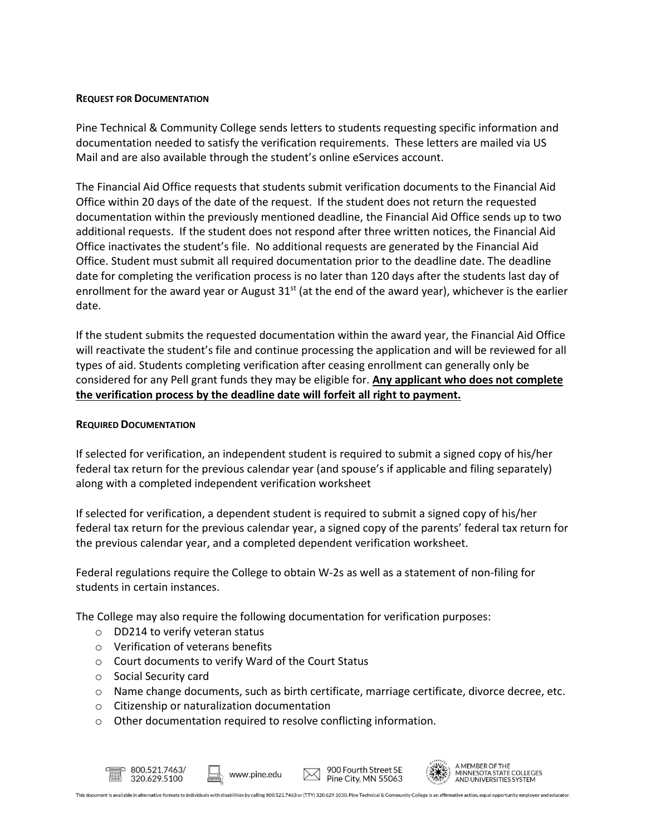#### **REQUEST FOR DOCUMENTATION**

Pine Technical & Community College sends letters to students requesting specific information and documentation needed to satisfy the verification requirements. These letters are mailed via US Mail and are also available through the student's online eServices account.

The Financial Aid Office requests that students submit verification documents to the Financial Aid Office within 20 days of the date of the request. If the student does not return the requested documentation within the previously mentioned deadline, the Financial Aid Office sends up to two additional requests. If the student does not respond after three written notices, the Financial Aid Office inactivates the student's file. No additional requests are generated by the Financial Aid Office. Student must submit all required documentation prior to the deadline date. The deadline date for completing the verification process is no later than 120 days after the students last day of enrollment for the award year or August  $31^{st}$  (at the end of the award year), whichever is the earlier date.

If the student submits the requested documentation within the award year, the Financial Aid Office will reactivate the student's file and continue processing the application and will be reviewed for all types of aid. Students completing verification after ceasing enrollment can generally only be considered for any Pell grant funds they may be eligible for. **Any applicant who does not complete the verification process by the deadline date will forfeit all right to payment.**

#### **REQUIRED DOCUMENTATION**

If selected for verification, an independent student is required to submit a signed copy of his/her federal tax return for the previous calendar year (and spouse's if applicable and filing separately) along with a completed independent verification worksheet

If selected for verification, a dependent student is required to submit a signed copy of his/her federal tax return for the previous calendar year, a signed copy of the parents' federal tax return for the previous calendar year, and a completed dependent verification worksheet.

Federal regulations require the College to obtain W-2s as well as a statement of non-filing for students in certain instances.

The College may also require the following documentation for verification purposes:

- o DD214 to verify veteran status
- o Verification of veterans benefits
- o Court documents to verify Ward of the Court Status
- o Social Security card
- o Name change documents, such as birth certificate, marriage certificate, divorce decree, etc.
- o Citizenship or naturalization documentation
- o Other documentation required to resolve conflicting information.